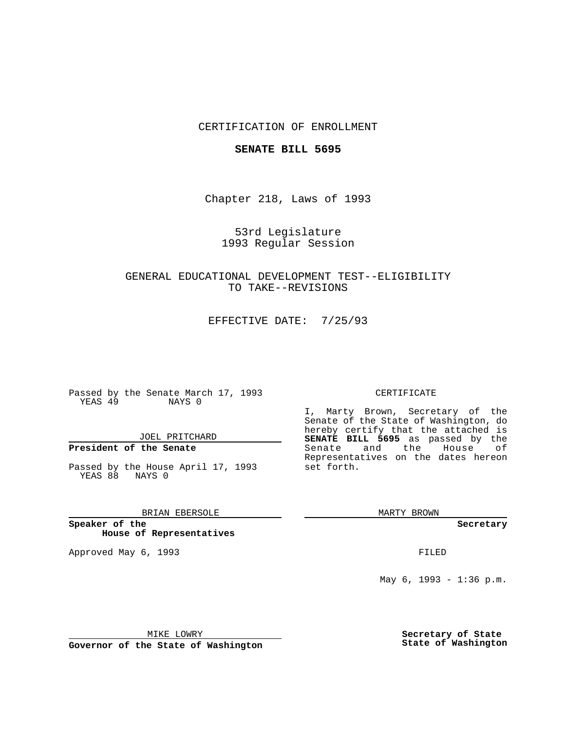## CERTIFICATION OF ENROLLMENT

### **SENATE BILL 5695**

Chapter 218, Laws of 1993

## 53rd Legislature 1993 Regular Session

# GENERAL EDUCATIONAL DEVELOPMENT TEST--ELIGIBILITY TO TAKE--REVISIONS

EFFECTIVE DATE: 7/25/93

Passed by the Senate March 17, 1993 YEAS 49 NAYS 0

JOEL PRITCHARD

# **President of the Senate**

Passed by the House April 17, 1993 YEAS 88 NAYS 0

## BRIAN EBERSOLE

**Speaker of the House of Representatives**

Approved May 6, 1993 **FILED** 

#### CERTIFICATE

I, Marty Brown, Secretary of the Senate of the State of Washington, do hereby certify that the attached is **SENATE BILL 5695** as passed by the Senate and the House of Representatives on the dates hereon set forth.

MARTY BROWN

**Secretary**

May 6, 1993 - 1:36 p.m.

MIKE LOWRY

**Governor of the State of Washington**

**Secretary of State State of Washington**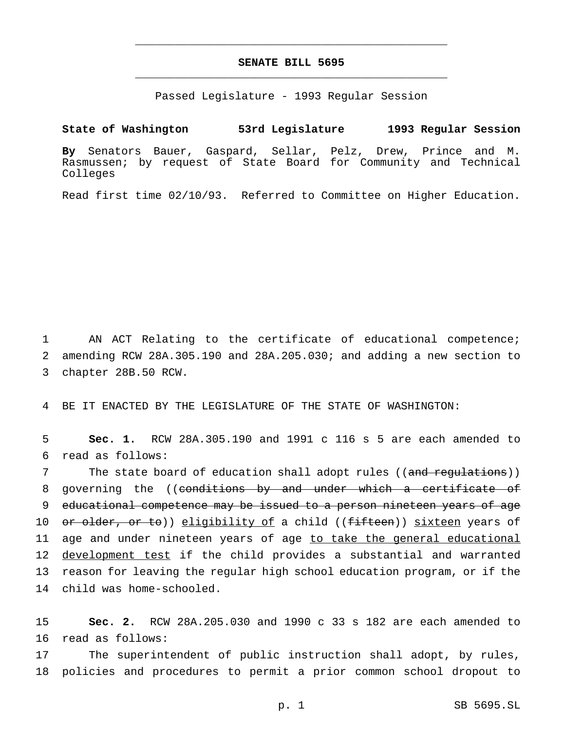# **SENATE BILL 5695** \_\_\_\_\_\_\_\_\_\_\_\_\_\_\_\_\_\_\_\_\_\_\_\_\_\_\_\_\_\_\_\_\_\_\_\_\_\_\_\_\_\_\_\_\_\_\_

\_\_\_\_\_\_\_\_\_\_\_\_\_\_\_\_\_\_\_\_\_\_\_\_\_\_\_\_\_\_\_\_\_\_\_\_\_\_\_\_\_\_\_\_\_\_\_

Passed Legislature - 1993 Regular Session

## **State of Washington 53rd Legislature 1993 Regular Session**

**By** Senators Bauer, Gaspard, Sellar, Pelz, Drew, Prince and M. Rasmussen; by request of State Board for Community and Technical Colleges

Read first time 02/10/93. Referred to Committee on Higher Education.

1 AN ACT Relating to the certificate of educational competence; 2 amending RCW 28A.305.190 and 28A.205.030; and adding a new section to 3 chapter 28B.50 RCW.

4 BE IT ENACTED BY THE LEGISLATURE OF THE STATE OF WASHINGTON:

5 **Sec. 1.** RCW 28A.305.190 and 1991 c 116 s 5 are each amended to 6 read as follows:

7 The state board of education shall adopt rules ((and regulations)) 8 governing the ((conditions by and under which a certificate of 9 educational competence may be issued to a person nineteen years of age 10 or older, or to)) eligibility of a child ((fifteen)) sixteen years of 11 age and under nineteen years of age to take the general educational 12 development test if the child provides a substantial and warranted 13 reason for leaving the regular high school education program, or if the 14 child was home-schooled.

15 **Sec. 2.** RCW 28A.205.030 and 1990 c 33 s 182 are each amended to 16 read as follows:

17 The superintendent of public instruction shall adopt, by rules, 18 policies and procedures to permit a prior common school dropout to